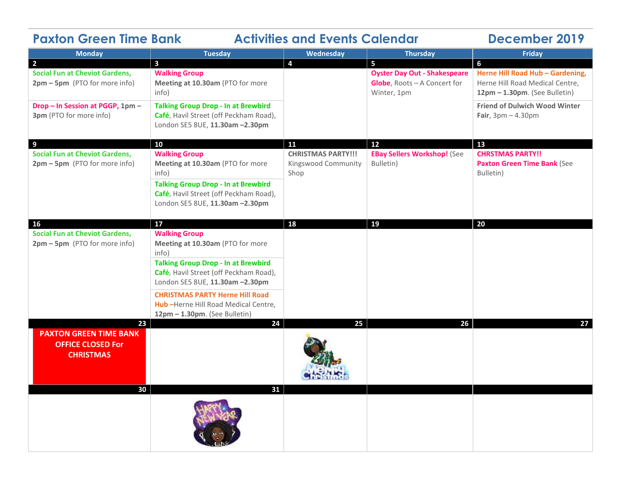| <b>Paxton Green Time Bank</b><br><b>Activities and Events Calendar</b>                            |                                                                                                                         |                                                          |                                                                                         | <b>December 2019</b>                                                                                      |
|---------------------------------------------------------------------------------------------------|-------------------------------------------------------------------------------------------------------------------------|----------------------------------------------------------|-----------------------------------------------------------------------------------------|-----------------------------------------------------------------------------------------------------------|
| <b>Monday</b>                                                                                     | <b>Tuesday</b>                                                                                                          | Wednesday                                                | <b>Thursday</b>                                                                         | <b>Friday</b>                                                                                             |
| $\overline{\mathbf{2}}$<br><b>Social Fun at Cheviot Gardens,</b><br>2pm - 5pm (PTO for more info) | $\overline{\mathbf{3}}$<br><b>Walking Group</b><br>Meeting at 10.30am (PTO for more<br>info)                            | $\overline{4}$                                           | 5<br><b>Oyster Day Out - Shakespeare</b><br>Globe, Roots - A Concert for<br>Winter, 1pm | 6<br>Herne Hill Road Hub - Gardening,<br>Herne Hill Road Medical Centre,<br>12pm - 1.30pm. (See Bulletin) |
| Drop - In Session at PGGP, 1pm -<br>3pm (PTO for more info)                                       | <b>Talking Group Drop - In at Brewbird</b><br>Café, Havil Street (off Peckham Road),<br>London SE5 8UE, 11.30am -2.30pm |                                                          |                                                                                         | <b>Friend of Dulwich Wood Winter</b><br>Fair, $3pm - 4.30pm$                                              |
| 9                                                                                                 | 10                                                                                                                      | 11                                                       | 12                                                                                      | 13                                                                                                        |
| <b>Social Fun at Cheviot Gardens,</b><br>2pm - 5pm (PTO for more info)                            | <b>Walking Group</b><br>Meeting at 10.30am (PTO for more<br>info)                                                       | <b>CHRISTMAS PARTY!!!</b><br>Kingswood Community<br>Shop | <b>EBay Sellers Workshop! (See</b><br>Bulletin)                                         | <b>CHRSTMAS PARTY!!</b><br><b>Paxton Green Time Bank (See</b><br>Bulletin)                                |
|                                                                                                   | <b>Talking Group Drop - In at Brewbird</b><br>Café, Havil Street (off Peckham Road),<br>London SE5 8UE, 11.30am -2.30pm |                                                          |                                                                                         |                                                                                                           |
| 16                                                                                                | 17                                                                                                                      | 18                                                       | 19                                                                                      | 20                                                                                                        |
| <b>Social Fun at Cheviot Gardens,</b><br>2pm - 5pm (PTO for more info)                            | <b>Walking Group</b><br>Meeting at 10.30am (PTO for more<br>info)                                                       |                                                          |                                                                                         |                                                                                                           |
|                                                                                                   | <b>Talking Group Drop - In at Brewbird</b><br>Café, Havil Street (off Peckham Road),<br>London SE5 8UE, 11.30am -2.30pm |                                                          |                                                                                         |                                                                                                           |
|                                                                                                   | <b>CHRISTMAS PARTY Herne Hill Road</b><br>Hub-Herne Hill Road Medical Centre,<br>12pm - 1.30pm. (See Bulletin)          |                                                          |                                                                                         |                                                                                                           |
| 23<br><b>PAXTON GREEN TIME BANK</b><br><b>OFFICE CLOSED For</b><br><b>CHRISTMAS</b>               | 24                                                                                                                      | 25                                                       | 26                                                                                      | 27                                                                                                        |
| 30                                                                                                | 31                                                                                                                      |                                                          |                                                                                         |                                                                                                           |